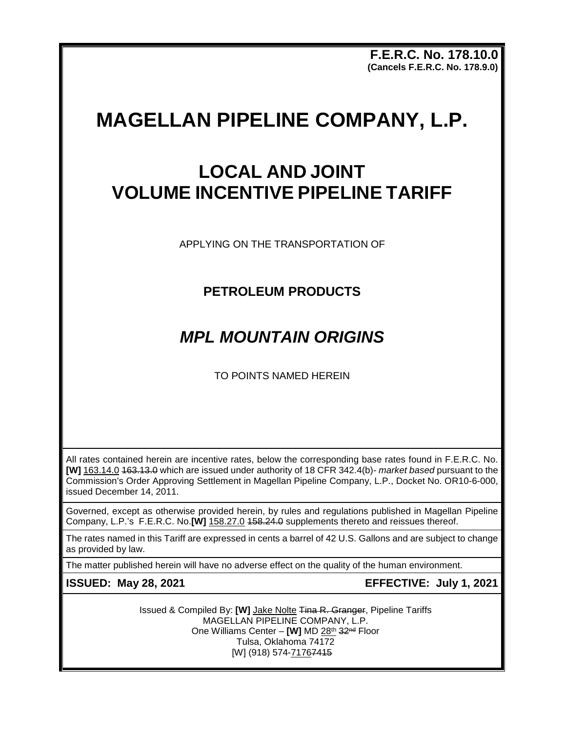**F.E.R.C. No. 178.10.0 (Cancels F.E.R.C. No. 178.9.0)**

# **MAGELLAN PIPELINE COMPANY, L.P.**

## **LOCAL AND JOINT VOLUME INCENTIVE PIPELINE TARIFF**

APPLYING ON THE TRANSPORTATION OF

### **PETROLEUM PRODUCTS**

## *MPL MOUNTAIN ORIGINS*

TO POINTS NAMED HEREIN

All rates contained herein are incentive rates, below the corresponding base rates found in F.E.R.C. No. **[W]** 163.14.0 163.13.0 which are issued under authority of 18 CFR 342.4(b)- *market based* pursuant to the Commission's Order Approving Settlement in Magellan Pipeline Company, L.P., Docket No. OR10-6-000, issued December 14, 2011.

Governed, except as otherwise provided herein, by rules and regulations published in Magellan Pipeline Company, L.P.'s F.E.R.C. No.**[W]** 158.27.0 458.24.0 supplements thereto and reissues thereof.

The rates named in this Tariff are expressed in cents a barrel of 42 U.S. Gallons and are subject to change as provided by law.

The matter published herein will have no adverse effect on the quality of the human environment.

**ISSUED: May 28, 2021 EFFECTIVE: July 1, 2021**

Issued & Compiled By: **[W]** Jake Nolte Tina R. Granger, Pipeline Tariffs MAGELLAN PIPELINE COMPANY, L.P. One Williams Center – **[W]** MD 28th 32nd Floor Tulsa, Oklahoma 74172 [W] (918) 574-71767415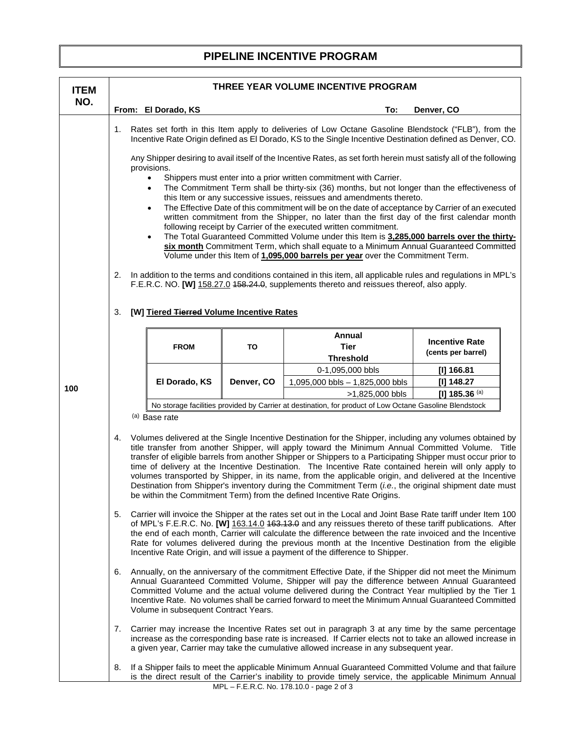### **PIPELINE INCENTIVE PROGRAM**

| <b>ITEM</b> | THREE YEAR VOLUME INCENTIVE PROGRAM                                                                                                                                                                                                                                                                                                                                                                                                                                                                                                                                                                                                                                                                                                                                                                                                                                                                                                                                                                                                                                                                                                                                                                                                                                                                                                                                                                                                    |                                           |            |                                                                                                                                                                                                                                                                                                            |                                             |  |
|-------------|----------------------------------------------------------------------------------------------------------------------------------------------------------------------------------------------------------------------------------------------------------------------------------------------------------------------------------------------------------------------------------------------------------------------------------------------------------------------------------------------------------------------------------------------------------------------------------------------------------------------------------------------------------------------------------------------------------------------------------------------------------------------------------------------------------------------------------------------------------------------------------------------------------------------------------------------------------------------------------------------------------------------------------------------------------------------------------------------------------------------------------------------------------------------------------------------------------------------------------------------------------------------------------------------------------------------------------------------------------------------------------------------------------------------------------------|-------------------------------------------|------------|------------------------------------------------------------------------------------------------------------------------------------------------------------------------------------------------------------------------------------------------------------------------------------------------------------|---------------------------------------------|--|
| NO.         |                                                                                                                                                                                                                                                                                                                                                                                                                                                                                                                                                                                                                                                                                                                                                                                                                                                                                                                                                                                                                                                                                                                                                                                                                                                                                                                                                                                                                                        | From: El Dorado, KS                       |            | To:                                                                                                                                                                                                                                                                                                        | Denver, CO                                  |  |
|             | Rates set forth in this Item apply to deliveries of Low Octane Gasoline Blendstock ("FLB"), from the<br>1.<br>Incentive Rate Origin defined as El Dorado, KS to the Single Incentive Destination defined as Denver, CO.<br>Any Shipper desiring to avail itself of the Incentive Rates, as set forth herein must satisfy all of the following<br>provisions.<br>Shippers must enter into a prior written commitment with Carrier.<br>$\bullet$<br>The Commitment Term shall be thirty-six (36) months, but not longer than the effectiveness of<br>$\bullet$<br>this Item or any successive issues, reissues and amendments thereto.<br>The Effective Date of this commitment will be on the date of acceptance by Carrier of an executed<br>$\bullet$<br>written commitment from the Shipper, no later than the first day of the first calendar month<br>following receipt by Carrier of the executed written commitment.<br>The Total Guaranteed Committed Volume under this Item is 3,285,000 barrels over the thirty-<br>$\bullet$<br>six month Commitment Term, which shall equate to a Minimum Annual Guaranteed Committed<br>Volume under this Item of 1,095,000 barrels per year over the Commitment Term.<br>In addition to the terms and conditions contained in this item, all applicable rules and regulations in MPL's<br>2.<br>F.E.R.C. NO. [W] 158.27.0 458.24.0, supplements thereto and reissues thereof, also apply. |                                           |            |                                                                                                                                                                                                                                                                                                            |                                             |  |
|             | 3.                                                                                                                                                                                                                                                                                                                                                                                                                                                                                                                                                                                                                                                                                                                                                                                                                                                                                                                                                                                                                                                                                                                                                                                                                                                                                                                                                                                                                                     | [W] Tiered Tierred Volume Incentive Rates |            |                                                                                                                                                                                                                                                                                                            |                                             |  |
|             |                                                                                                                                                                                                                                                                                                                                                                                                                                                                                                                                                                                                                                                                                                                                                                                                                                                                                                                                                                                                                                                                                                                                                                                                                                                                                                                                                                                                                                        | <b>FROM</b>                               | <b>TO</b>  | Annual<br><b>Tier</b><br><b>Threshold</b>                                                                                                                                                                                                                                                                  | <b>Incentive Rate</b><br>(cents per barrel) |  |
|             |                                                                                                                                                                                                                                                                                                                                                                                                                                                                                                                                                                                                                                                                                                                                                                                                                                                                                                                                                                                                                                                                                                                                                                                                                                                                                                                                                                                                                                        | El Dorado, KS                             | Denver, CO | 0-1,095,000 bbls                                                                                                                                                                                                                                                                                           | [I] 166.81                                  |  |
|             |                                                                                                                                                                                                                                                                                                                                                                                                                                                                                                                                                                                                                                                                                                                                                                                                                                                                                                                                                                                                                                                                                                                                                                                                                                                                                                                                                                                                                                        |                                           |            | 1,095,000 bbls - 1,825,000 bbls                                                                                                                                                                                                                                                                            | [I] 148.27                                  |  |
| 100         |                                                                                                                                                                                                                                                                                                                                                                                                                                                                                                                                                                                                                                                                                                                                                                                                                                                                                                                                                                                                                                                                                                                                                                                                                                                                                                                                                                                                                                        |                                           |            | >1,825,000 bbls                                                                                                                                                                                                                                                                                            | [I] 185.36 (a)                              |  |
|             |                                                                                                                                                                                                                                                                                                                                                                                                                                                                                                                                                                                                                                                                                                                                                                                                                                                                                                                                                                                                                                                                                                                                                                                                                                                                                                                                                                                                                                        | (a) Base rate                             |            | No storage facilities provided by Carrier at destination, for product of Low Octane Gasoline Blendstock                                                                                                                                                                                                    |                                             |  |
|             | Volumes delivered at the Single Incentive Destination for the Shipper, including any volumes obtained by<br>4.<br>title transfer from another Shipper, will apply toward the Minimum Annual Committed Volume. Title<br>transfer of eligible barrels from another Shipper or Shippers to a Participating Shipper must occur prior to<br>time of delivery at the Incentive Destination. The Incentive Rate contained herein will only apply to<br>volumes transported by Shipper, in its name, from the applicable origin, and delivered at the Incentive<br>Destination from Shipper's inventory during the Commitment Term (i.e., the original shipment date must<br>be within the Commitment Term) from the defined Incentive Rate Origins.                                                                                                                                                                                                                                                                                                                                                                                                                                                                                                                                                                                                                                                                                           |                                           |            |                                                                                                                                                                                                                                                                                                            |                                             |  |
|             | 5.<br>Carrier will invoice the Shipper at the rates set out in the Local and Joint Base Rate tariff under Item 100<br>of MPL's F.E.R.C. No. [W] 163.14.0 463.13.9 and any reissues thereto of these tariff publications. After<br>the end of each month, Carrier will calculate the difference between the rate invoiced and the Incentive<br>Rate for volumes delivered during the previous month at the Incentive Destination from the eligible<br>Incentive Rate Origin, and will issue a payment of the difference to Shipper.                                                                                                                                                                                                                                                                                                                                                                                                                                                                                                                                                                                                                                                                                                                                                                                                                                                                                                     |                                           |            |                                                                                                                                                                                                                                                                                                            |                                             |  |
|             | Annually, on the anniversary of the commitment Effective Date, if the Shipper did not meet the Minimum<br>6.<br>Annual Guaranteed Committed Volume, Shipper will pay the difference between Annual Guaranteed<br>Committed Volume and the actual volume delivered during the Contract Year multiplied by the Tier 1<br>Incentive Rate. No volumes shall be carried forward to meet the Minimum Annual Guaranteed Committed<br>Volume in subsequent Contract Years.                                                                                                                                                                                                                                                                                                                                                                                                                                                                                                                                                                                                                                                                                                                                                                                                                                                                                                                                                                     |                                           |            |                                                                                                                                                                                                                                                                                                            |                                             |  |
|             | 7.                                                                                                                                                                                                                                                                                                                                                                                                                                                                                                                                                                                                                                                                                                                                                                                                                                                                                                                                                                                                                                                                                                                                                                                                                                                                                                                                                                                                                                     |                                           |            | Carrier may increase the Incentive Rates set out in paragraph 3 at any time by the same percentage<br>increase as the corresponding base rate is increased. If Carrier elects not to take an allowed increase in<br>a given year, Carrier may take the cumulative allowed increase in any subsequent year. |                                             |  |
|             | 8.                                                                                                                                                                                                                                                                                                                                                                                                                                                                                                                                                                                                                                                                                                                                                                                                                                                                                                                                                                                                                                                                                                                                                                                                                                                                                                                                                                                                                                     |                                           |            | If a Shipper fails to meet the applicable Minimum Annual Guaranteed Committed Volume and that failure<br>is the direct result of the Carrier's inability to provide timely service, the applicable Minimum Annual<br>MPL - F.E.R.C. No. 178.10.0 - page 2 of 3                                             |                                             |  |